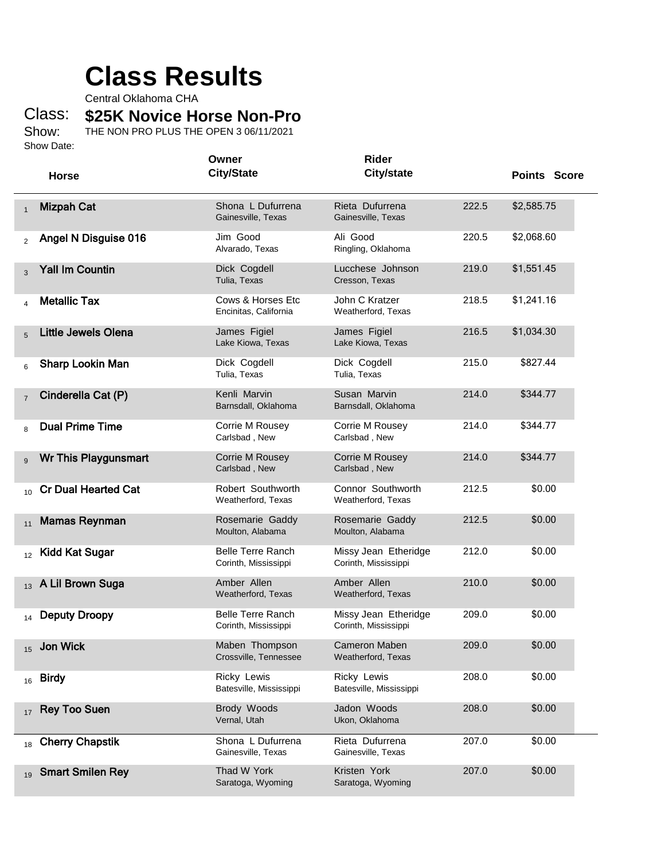## **Class Results**

Central Oklahoma CHA

Class: **\$25K Novice Horse Non-Pro**

Show: Show Date: THE NON PRO PLUS THE OPEN 3 06/11/2021

|                |                            | Owner                                            | <b>Rider</b>                                 |       |                     |
|----------------|----------------------------|--------------------------------------------------|----------------------------------------------|-------|---------------------|
|                | <b>Horse</b>               | <b>City/State</b>                                | <b>City/state</b>                            |       | <b>Points Score</b> |
| $\mathbf{1}$   | <b>Mizpah Cat</b>          | Shona L Dufurrena<br>Gainesville, Texas          | Rieta Dufurrena<br>Gainesville, Texas        | 222.5 | \$2,585.75          |
| 2              | Angel N Disguise 016       | Jim Good<br>Alvarado, Texas                      | Ali Good<br>Ringling, Oklahoma               | 220.5 | \$2,068.60          |
| 3              | <b>Yall Im Countin</b>     | Dick Cogdell<br>Tulia, Texas                     | Lucchese Johnson<br>Cresson, Texas           | 219.0 | \$1,551.45          |
| 4              | <b>Metallic Tax</b>        | Cows & Horses Etc<br>Encinitas, California       | John C Kratzer<br>Weatherford, Texas         | 218.5 | \$1,241.16          |
| 5              | <b>Little Jewels Olena</b> | James Figiel<br>Lake Kiowa, Texas                | James Figiel<br>Lake Kiowa, Texas            | 216.5 | \$1,034.30          |
| 6              | <b>Sharp Lookin Man</b>    | Dick Cogdell<br>Tulia, Texas                     | Dick Cogdell<br>Tulia, Texas                 | 215.0 | \$827.44            |
| $\overline{7}$ | Cinderella Cat (P)         | Kenli Marvin<br>Barnsdall, Oklahoma              | Susan Marvin<br>Barnsdall, Oklahoma          | 214.0 | \$344.77            |
| 8              | <b>Dual Prime Time</b>     | Corrie M Rousey<br>Carlsbad, New                 | Corrie M Rousey<br>Carlsbad, New             | 214.0 | \$344.77            |
| 9              | Wr This Playgunsmart       | Corrie M Rousey<br>Carlsbad, New                 | Corrie M Rousey<br>Carlsbad, New             | 214.0 | \$344.77            |
| 10             | <b>Cr Dual Hearted Cat</b> | Robert Southworth<br>Weatherford, Texas          | Connor Southworth<br>Weatherford, Texas      | 212.5 | \$0.00              |
| 11             | <b>Mamas Reynman</b>       | Rosemarie Gaddy<br>Moulton, Alabama              | Rosemarie Gaddy<br>Moulton, Alabama          | 212.5 | \$0.00              |
| 12             | <b>Kidd Kat Sugar</b>      | <b>Belle Terre Ranch</b><br>Corinth, Mississippi | Missy Jean Etheridge<br>Corinth, Mississippi | 212.0 | \$0.00              |
| 13             | A Lil Brown Suga           | Amber Allen<br>Weatherford, Texas                | Amber Allen<br>Weatherford, Texas            | 210.0 | \$0.00              |
|                | <b>Deputy Droopy</b>       | <b>Belle Terre Ranch</b><br>Corinth, Mississippi | Missy Jean Etheridge<br>Corinth, Mississippi | 209.0 | \$0.00              |
| 15             | Jon Wick                   | Maben Thompson<br>Crossville, Tennessee          | <b>Cameron Maben</b><br>Weatherford, Texas   | 209.0 | \$0.00              |
| 16             | <b>Birdy</b>               | <b>Ricky Lewis</b><br>Batesville, Mississippi    | Ricky Lewis<br>Batesville, Mississippi       | 208.0 | \$0.00              |
| 17             | <b>Rey Too Suen</b>        | Brody Woods<br>Vernal, Utah                      | Jadon Woods<br>Ukon, Oklahoma                | 208.0 | \$0.00              |
| 18             | <b>Cherry Chapstik</b>     | Shona L Dufurrena<br>Gainesville, Texas          | Rieta Dufurrena<br>Gainesville, Texas        | 207.0 | \$0.00              |
| 19             | <b>Smart Smilen Rey</b>    | Thad W York<br>Saratoga, Wyoming                 | Kristen York<br>Saratoga, Wyoming            | 207.0 | \$0.00              |